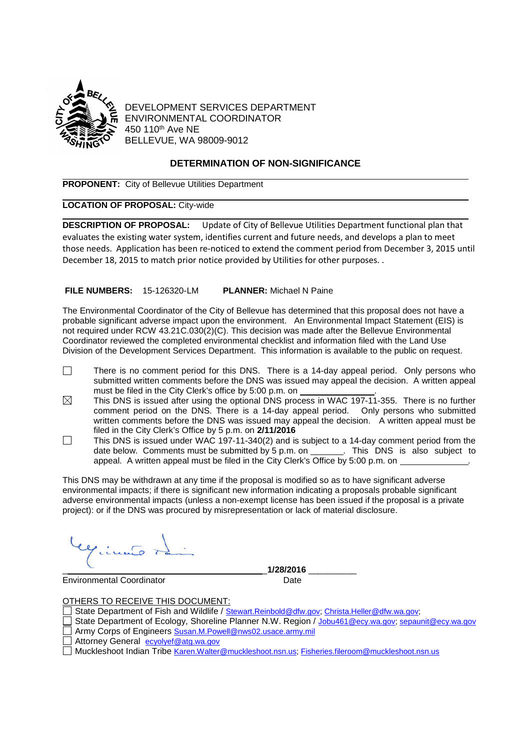

DEVELOPMENT SERVICES DEPARTMENT ENVIRONMENTAL COORDINATOR 450 110th Ave NE BELLEVUE, WA 98009-9012

# **DETERMINATION OF NON-SIGNIFICANCE**

**PROPONENT:** City of Bellevue Utilities Department

# **LOCATION OF PROPOSAL:** City-wide

**DESCRIPTION OF PROPOSAL:** Update of City of Bellevue Utilities Department functional plan that evaluates the existing water system, identifies current and future needs, and develops a plan to meet those needs. Application has been re-noticed to extend the comment period from December 3, 2015 until December 18, 2015 to match prior notice provided by Utilities for other purposes. .

## **FILE NUMBERS:** 15-126320-LM **PLANNER:** Michael N Paine

The Environmental Coordinator of the City of Bellevue has determined that this proposal does not have a probable significant adverse impact upon the environment. An Environmental Impact Statement (EIS) is not required under RCW 43.21C.030(2)(C). This decision was made after the Bellevue Environmental Coordinator reviewed the completed environmental checklist and information filed with the Land Use Division of the Development Services Department. This information is available to the public on request.

- $\Box$ There is no comment period for this DNS. There is a 14-day appeal period. Only persons who submitted written comments before the DNS was issued may appeal the decision. A written appeal must be filed in the City Clerk's office by 5:00 p.m. on
- This DNS is issued after using the optional DNS process in WAC 197-11-355. There is no further  $\boxtimes$ comment period on the DNS. There is a 14-day appeal period. Only persons who submitted written comments before the DNS was issued may appeal the decision. A written appeal must be filed in the City Clerk's Office by 5 p.m. on **2/11/2016**
- $\Box$ This DNS is issued under WAC 197-11-340(2) and is subject to a 14-day comment period from the date below. Comments must be submitted by 5 p.m. on \_\_\_\_\_\_. This DNS is also subject to appeal. A written appeal must be filed in the City Clerk's Office by 5:00 p.m. on

This DNS may be withdrawn at any time if the proposal is modified so as to have significant adverse environmental impacts; if there is significant new information indicating a proposals probable significant adverse environmental impacts (unless a non-exempt license has been issued if the proposal is a private project): or if the DNS was procured by misrepresentation or lack of material disclosure.

Environmental Coordinator **Date** 

\_ \_\_\_\_\_\_\_\_\_\_\_\_\_\_**1/28/2016** \_\_\_\_\_\_\_\_\_\_

OTHERS TO RECEIVE THIS DOCUMENT:

- □ State Department of Fish and Wildlife / Stewart.Reinbold@dfw.gov; Christa.Heller@dfw.wa.gov;
- □ State Department of Ecology, Shoreline Planner N.W. Region / Jobu461@ecy.wa.gov; sepaunit@ecy.wa.gov
- Army Corps of Engineers Susan.M.Powell@nws02.usace.army.mil
- Attorney General ecyolyef@atg.wa.gov
- Muckleshoot Indian Tribe Karen.Walter@muckleshoot.nsn.us; Fisheries.fileroom@muckleshoot.nsn.us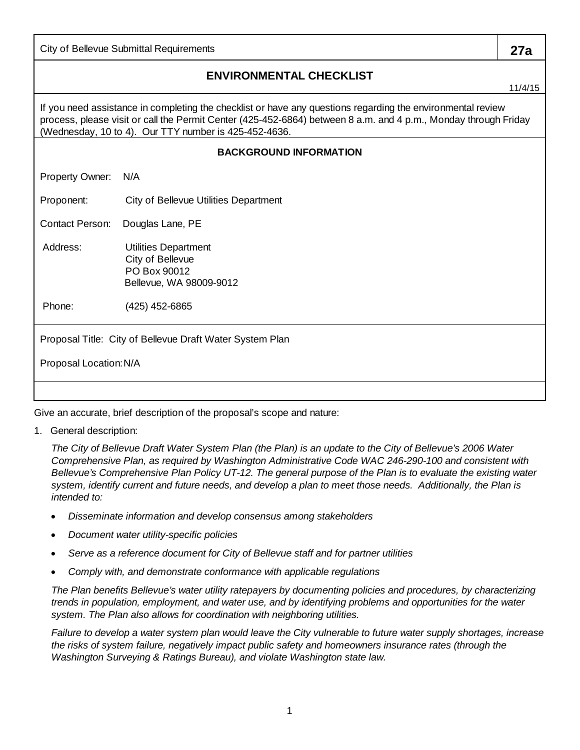|                                                                                                                                                                                                                                                                                         | <b>ENVIRONMENTAL CHECKLIST</b><br>11/4/15                                                  |
|-----------------------------------------------------------------------------------------------------------------------------------------------------------------------------------------------------------------------------------------------------------------------------------------|--------------------------------------------------------------------------------------------|
| If you need assistance in completing the checklist or have any questions regarding the environmental review<br>process, please visit or call the Permit Center (425-452-6864) between 8 a.m. and 4 p.m., Monday through Friday<br>(Wednesday, 10 to 4). Our TTY number is 425-452-4636. |                                                                                            |
| <b>BACKGROUND INFORMATION</b>                                                                                                                                                                                                                                                           |                                                                                            |
| Property Owner:                                                                                                                                                                                                                                                                         | N/A                                                                                        |
| Proponent:                                                                                                                                                                                                                                                                              | City of Bellevue Utilities Department                                                      |
| Contact Person:                                                                                                                                                                                                                                                                         | Douglas Lane, PE                                                                           |
| Address:                                                                                                                                                                                                                                                                                | <b>Utilities Department</b><br>City of Bellevue<br>PO Box 90012<br>Bellevue, WA 98009-9012 |
| Phone:                                                                                                                                                                                                                                                                                  | $(425)$ 452-6865                                                                           |
| Proposal Title: City of Bellevue Draft Water System Plan                                                                                                                                                                                                                                |                                                                                            |
| Proposal Location: N/A                                                                                                                                                                                                                                                                  |                                                                                            |
|                                                                                                                                                                                                                                                                                         |                                                                                            |

City of Bellevue Submittal Requirements **27a**

Give an accurate, brief description of the proposal's scope and nature:

1. General description:

*The City of Bellevue Draft Water System Plan (the Plan) is an update to the City of Bellevue's 2006 Water Comprehensive Plan, as required by Washington Administrative Code WAC 246-290-100 and consistent with Bellevue's Comprehensive Plan Policy UT-12. The general purpose of the Plan is to evaluate the existing water system, identify current and future needs, and develop a plan to meet those needs. Additionally, the Plan is intended to:*

- *Disseminate information and develop consensus among stakeholders*
- *Document water utility-specific policies*
- *Serve as a reference document for City of Bellevue staff and for partner utilities*
- *Comply with, and demonstrate conformance with applicable regulations*

*The Plan benefits Bellevue's water utility ratepayers by documenting policies and procedures, by characterizing trends in population, employment, and water use, and by identifying problems and opportunities for the water system. The Plan also allows for coordination with neighboring utilities.*

*Failure to develop a water system plan would leave the City vulnerable to future water supply shortages, increase the risks of system failure, negatively impact public safety and homeowners insurance rates (through the Washington Surveying & Ratings Bureau), and violate Washington state law.*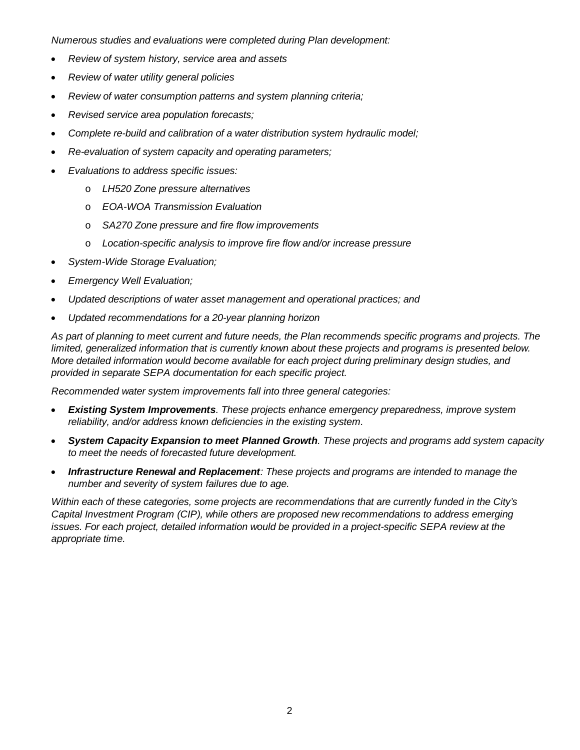*Numerous studies and evaluations were completed during Plan development:*

- *Review of system history, service area and assets*
- *Review of water utility general policies*
- *Review of water consumption patterns and system planning criteria;*
- *Revised service area population forecasts;*
- *Complete re-build and calibration of a water distribution system hydraulic model;*
- *Re-evaluation of system capacity and operating parameters;*
- *Evaluations to address specific issues:*
	- o *LH520 Zone pressure alternatives*
	- o *EOA-WOA Transmission Evaluation*
	- o *SA270 Zone pressure and fire flow improvements*
	- o *Location-specific analysis to improve fire flow and/or increase pressure*
- *System-Wide Storage Evaluation;*
- *Emergency Well Evaluation;*
- *Updated descriptions of water asset management and operational practices; and*
- *Updated recommendations for a 20-year planning horizon*

*As part of planning to meet current and future needs, the Plan recommends specific programs and projects. The limited, generalized information that is currently known about these projects and programs is presented below. More detailed information would become available for each project during preliminary design studies, and provided in separate SEPA documentation for each specific project.*

*Recommended water system improvements fall into three general categories:*

- *Existing System Improvements. These projects enhance emergency preparedness, improve system reliability, and/or address known deficiencies in the existing system.*
- *System Capacity Expansion to meet Planned Growth. These projects and programs add system capacity to meet the needs of forecasted future development.*
- *Infrastructure Renewal and Replacement: These projects and programs are intended to manage the number and severity of system failures due to age.*

*Within each of these categories, some projects are recommendations that are currently funded in the City's Capital Investment Program (CIP), while others are proposed new recommendations to address emerging issues. For each project, detailed information would be provided in a project-specific SEPA review at the appropriate time.*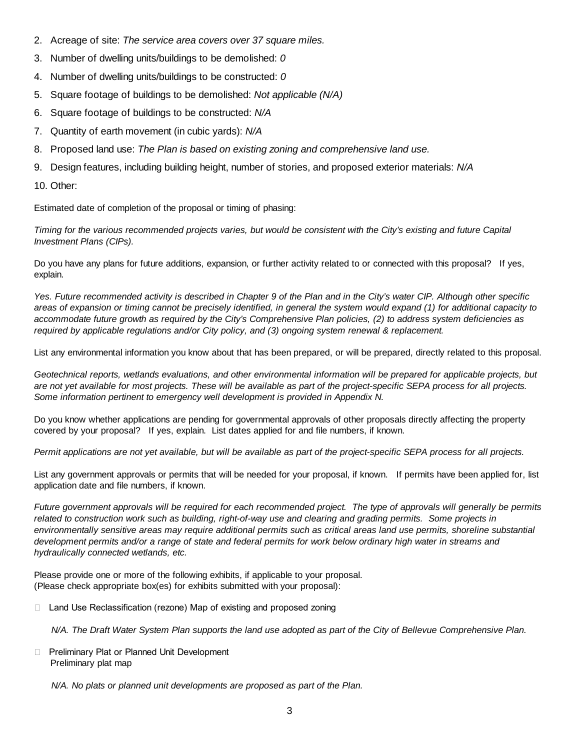- 2. Acreage of site: *The service area covers over 37 square miles.*
- 3. Number of dwelling units/buildings to be demolished: *0*
- 4. Number of dwelling units/buildings to be constructed: *0*
- 5. Square footage of buildings to be demolished: *Not applicable (N/A)*
- 6. Square footage of buildings to be constructed: *N/A*
- 7. Quantity of earth movement (in cubic yards): *N/A*
- 8. Proposed land use: *The Plan is based on existing zoning and comprehensive land use.*
- 9. Design features, including building height, number of stories, and proposed exterior materials: *N/A*

10. Other:

Estimated date of completion of the proposal or timing of phasing:

*Timing for the various recommended projects varies, but would be consistent with the City's existing and future Capital Investment Plans (CIPs).*

Do you have any plans for future additions, expansion, or further activity related to or connected with this proposal? If yes, explain.

*Yes. Future recommended activity is described in Chapter 9 of the Plan and in the City's water CIP. Although other specific areas of expansion or timing cannot be precisely identified, in general the system would expand (1) for additional capacity to accommodate future growth as required by the City's Comprehensive Plan policies, (2) to address system deficiencies as required by applicable regulations and/or City policy, and (3) ongoing system renewal & replacement.*

List any environmental information you know about that has been prepared, or will be prepared, directly related to this proposal.

*Geotechnical reports, wetlands evaluations, and other environmental information will be prepared for applicable projects, but are not yet available for most projects. These will be available as part of the project-specific SEPA process for all projects. Some information pertinent to emergency well development is provided in Appendix N.*

Do you know whether applications are pending for governmental approvals of other proposals directly affecting the property covered by your proposal? If yes, explain. List dates applied for and file numbers, if known.

*Permit applications are not yet available, but will be available as part of the project-specific SEPA process for all projects.*

List any government approvals or permits that will be needed for your proposal, if known. If permits have been applied for, list application date and file numbers, if known.

*Future government approvals will be required for each recommended project. The type of approvals will generally be permits related to construction work such as building, right-of-way use and clearing and grading permits. Some projects in environmentally sensitive areas may require additional permits such as critical areas land use permits, shoreline substantial development permits and/or a range of state and federal permits for work below ordinary high water in streams and hydraulically connected wetlands, etc.*

Please provide one or more of the following exhibits, if applicable to your proposal. (Please check appropriate box(es) for exhibits submitted with your proposal):

 $\Box$  Land Use Reclassification (rezone) Map of existing and proposed zoning

*N/A. The Draft Water System Plan supports the land use adopted as part of the City of Bellevue Comprehensive Plan.*

□ Preliminary Plat or Planned Unit Development Preliminary plat map

*N/A. No plats or planned unit developments are proposed as part of the Plan.*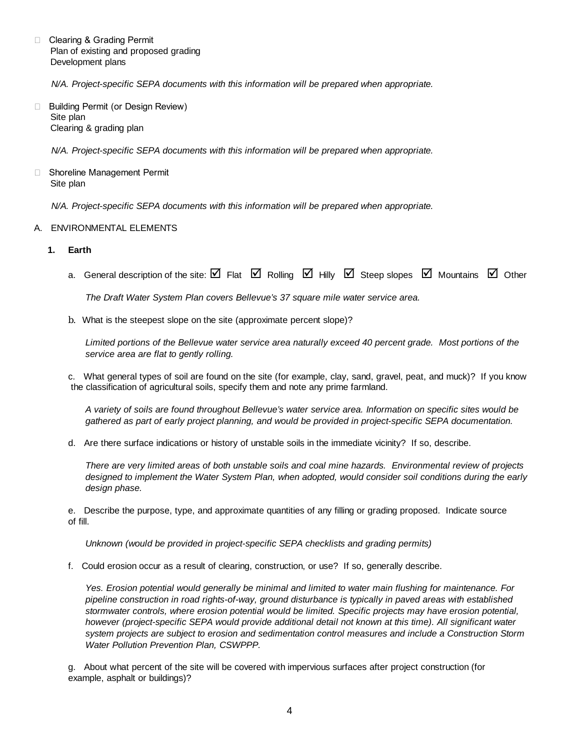□ Clearing & Grading Permit Plan of existing and proposed grading Development plans

*N/A. Project-specific SEPA documents with this information will be prepared when appropriate.*

□ Building Permit (or Design Review) Site plan Clearing & grading plan

*N/A. Project-specific SEPA documents with this information will be prepared when appropriate.*

□ Shoreline Management Permit Site plan

*N/A. Project-specific SEPA documents with this information will be prepared when appropriate.*

#### A. ENVIRONMENTAL ELEMENTS

#### **1. Earth**

a. General description of the site:  $\boxtimes$  Flat  $\boxtimes$  Rolling  $\boxtimes$  Hilly  $\boxtimes$  Steep slopes  $\boxtimes$  Mountains  $\boxtimes$  Other

*The Draft Water System Plan covers Bellevue's 37 square mile water service area.*

b. What is the steepest slope on the site (approximate percent slope)?

*Limited portions of the Bellevue water service area naturally exceed 40 percent grade. Most portions of the service area are flat to gently rolling.*

c. What general types of soil are found on the site (for example, clay, sand, gravel, peat, and muck)? If you know the classification of agricultural soils, specify them and note any prime farmland.

*A variety of soils are found throughout Bellevue's water service area. Information on specific sites would be gathered as part of early project planning, and would be provided in project-specific SEPA documentation.*

d. Are there surface indications or history of unstable soils in the immediate vicinity? If so, describe.

*There are very limited areas of both unstable soils and coal mine hazards. Environmental review of projects designed to implement the Water System Plan, when adopted, would consider soil conditions during the early design phase.*

e. Describe the purpose, type, and approximate quantities of any filling or grading proposed. Indicate source of fill.

*Unknown (would be provided in project-specific SEPA checklists and grading permits)*

f. Could erosion occur as a result of clearing, construction, or use? If so, generally describe.

*Yes. Erosion potential would generally be minimal and limited to water main flushing for maintenance. For pipeline construction in road rights-of-way, ground disturbance is typically in paved areas with established stormwater controls, where erosion potential would be limited. Specific projects may have erosion potential, however (project-specific SEPA would provide additional detail not known at this time). All significant water system projects are subject to erosion and sedimentation control measures and include a Construction Storm Water Pollution Prevention Plan, CSWPPP.*

g. About what percent of the site will be covered with impervious surfaces after project construction (for example, asphalt or buildings)?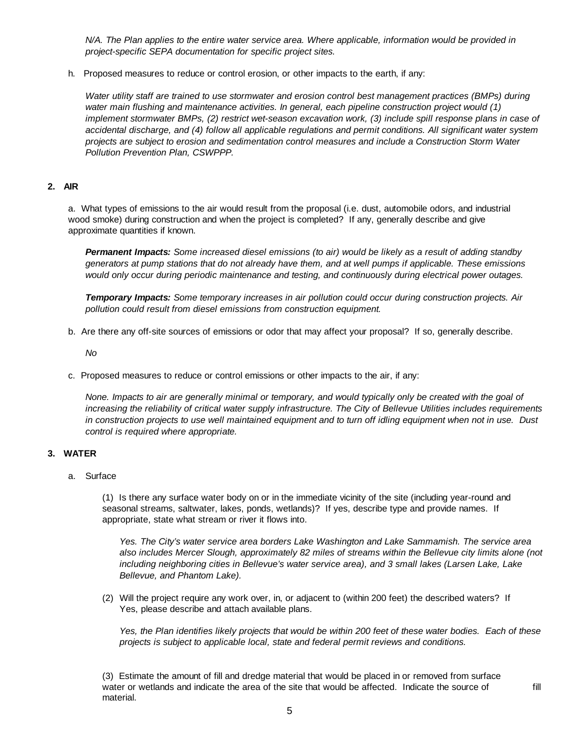*N/A. The Plan applies to the entire water service area. Where applicable, information would be provided in project-specific SEPA documentation for specific project sites.*

h. Proposed measures to reduce or control erosion, or other impacts to the earth, if any:

*Water utility staff are trained to use stormwater and erosion control best management practices (BMPs) during water main flushing and maintenance activities. In general, each pipeline construction project would (1) implement stormwater BMPs, (2) restrict wet-season excavation work, (3) include spill response plans in case of accidental discharge, and (4) follow all applicable regulations and permit conditions. All significant water system projects are subject to erosion and sedimentation control measures and include a Construction Storm Water Pollution Prevention Plan, CSWPPP.*

# **2. AIR**

a. What types of emissions to the air would result from the proposal (i.e. dust, automobile odors, and industrial wood smoke) during construction and when the project is completed? If any, generally describe and give approximate quantities if known.

*Permanent Impacts: Some increased diesel emissions (to air) would be likely as a result of adding standby generators at pump stations that do not already have them, and at well pumps if applicable. These emissions would only occur during periodic maintenance and testing, and continuously during electrical power outages.*

*Temporary Impacts: Some temporary increases in air pollution could occur during construction projects. Air pollution could result from diesel emissions from construction equipment.*

b. Are there any off-site sources of emissions or odor that may affect your proposal? If so, generally describe.

*No*

c. Proposed measures to reduce or control emissions or other impacts to the air, if any:

*None. Impacts to air are generally minimal or temporary, and would typically only be created with the goal of increasing the reliability of critical water supply infrastructure. The City of Bellevue Utilities includes requirements in construction projects to use well maintained equipment and to turn off idling equipment when not in use. Dust control is required where appropriate.*

# **3. WATER**

a. Surface

(1) Is there any surface water body on or in the immediate vicinity of the site (including year-round and seasonal streams, saltwater, lakes, ponds, wetlands)? If yes, describe type and provide names. If appropriate, state what stream or river it flows into.

*Yes. The City's water service area borders Lake Washington and Lake Sammamish. The service area also includes Mercer Slough, approximately 82 miles of streams within the Bellevue city limits alone (not including neighboring cities in Bellevue's water service area), and 3 small lakes (Larsen Lake, Lake Bellevue, and Phantom Lake).*

(2) Will the project require any work over, in, or adjacent to (within 200 feet) the described waters? If Yes, please describe and attach available plans.

*Yes, the Plan identifies likely projects that would be within 200 feet of these water bodies. Each of these projects is subject to applicable local, state and federal permit reviews and conditions.*

(3) Estimate the amount of fill and dredge material that would be placed in or removed from surface water or wetlands and indicate the area of the site that would be affected. Indicate the source of fill material.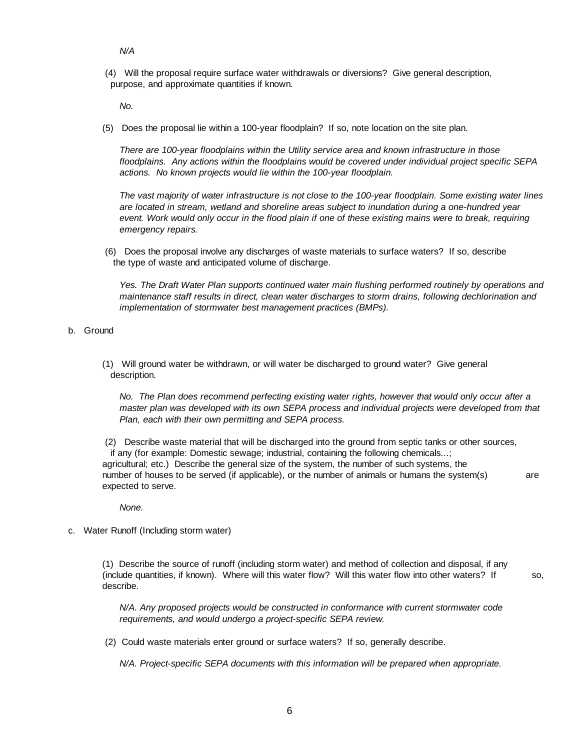(4) Will the proposal require surface water withdrawals or diversions? Give general description, purpose, and approximate quantities if known.

*No.*

(5) Does the proposal lie within a 100-year floodplain? If so, note location on the site plan.

*There are 100-year floodplains within the Utility service area and known infrastructure in those floodplains. Any actions within the floodplains would be covered under individual project specific SEPA actions. No known projects would lie within the 100-year floodplain.*

*The vast majority of water infrastructure is not close to the 100-year floodplain. Some existing water lines are located in stream, wetland and shoreline areas subject to inundation during a one-hundred year event. Work would only occur in the flood plain if one of these existing mains were to break, requiring emergency repairs.*

(6) Does the proposal involve any discharges of waste materials to surface waters? If so, describe the type of waste and anticipated volume of discharge.

*Yes. The Draft Water Plan supports continued water main flushing performed routinely by operations and maintenance staff results in direct, clean water discharges to storm drains, following dechlorination and implementation of stormwater best management practices (BMPs).*

b. Ground

(1) Will ground water be withdrawn, or will water be discharged to ground water? Give general description.

*No. The Plan does recommend perfecting existing water rights, however that would only occur after a master plan was developed with its own SEPA process and individual projects were developed from that Plan, each with their own permitting and SEPA process.*

(2) Describe waste material that will be discharged into the ground from septic tanks or other sources, if any (for example: Domestic sewage; industrial, containing the following chemicals...; agricultural; etc.) Describe the general size of the system, the number of such systems, the number of houses to be served (if applicable), or the number of animals or humans the system(s) are expected to serve.

*None.*

c. Water Runoff (Including storm water)

(1) Describe the source of runoff (including storm water) and method of collection and disposal, if any (include quantities, if known). Where will this water flow? Will this water flow into other waters? If so, describe.

*N/A. Any proposed projects would be constructed in conformance with current stormwater code requirements, and would undergo a project-specific SEPA review.*

(2) Could waste materials enter ground or surface waters? If so, generally describe.

*N/A. Project-specific SEPA documents with this information will be prepared when appropriate.*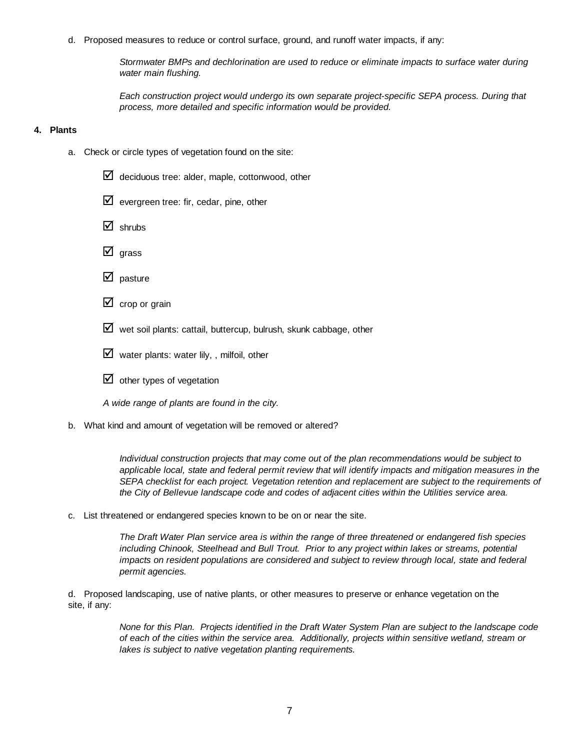d. Proposed measures to reduce or control surface, ground, and runoff water impacts, if any:

*Stormwater BMPs and dechlorination are used to reduce or eliminate impacts to surface water during water main flushing.*

*Each construction project would undergo its own separate project-specific SEPA process. During that process, more detailed and specific information would be provided.*

## **4. Plants**

- a. Check or circle types of vegetation found on the site:
	- $\triangledown$  deciduous tree: alder, maple, cottonwood, other
	- $\triangledown$  evergreen tree: fir, cedar, pine, other
	- $\overline{\mathbf{M}}$  shrubs
	- $\overline{2}$  arass
	- $\boxtimes$  pasture
	- $\boxtimes$  crop or grain
	- $\mathbf{\nabla}$  wet soil plants: cattail, buttercup, bulrush, skunk cabbage, other
	- $\triangledown$  water plants: water lily, , milfoil, other
	- $\boxtimes$  other types of vegetation

*A wide range of plants are found in the city.*

b. What kind and amount of vegetation will be removed or altered?

*Individual construction projects that may come out of the plan recommendations would be subject to applicable local, state and federal permit review that will identify impacts and mitigation measures in the SEPA checklist for each project. Vegetation retention and replacement are subject to the requirements of the City of Bellevue landscape code and codes of adjacent cities within the Utilities service area.*

c. List threatened or endangered species known to be on or near the site.

*The Draft Water Plan service area is within the range of three threatened or endangered fish species including Chinook, Steelhead and Bull Trout. Prior to any project within lakes or streams, potential impacts on resident populations are considered and subject to review through local, state and federal permit agencies.*

d. Proposed landscaping, use of native plants, or other measures to preserve or enhance vegetation on the site, if any:

> *None for this Plan. Projects identified in the Draft Water System Plan are subject to the landscape code of each of the cities within the service area. Additionally, projects within sensitive wetland, stream or lakes is subject to native vegetation planting requirements.*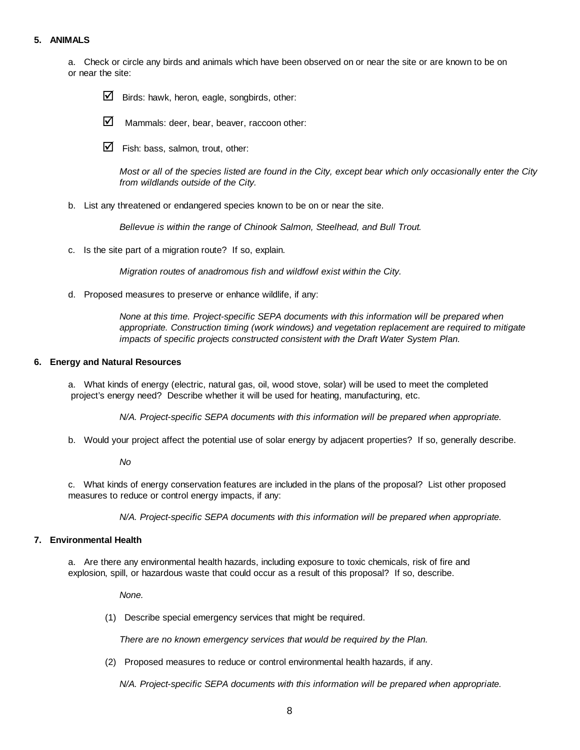# **5. ANIMALS**

a. Check or circle any birds and animals which have been observed on or near the site or are known to be on or near the site:





 $\triangleright$  Mammals: deer, bear, beaver, raccoon other:

 $\triangleright$  Fish: bass, salmon, trout, other:

*Most or all of the species listed are found in the City, except bear which only occasionally enter the City from wildlands outside of the City.*

b. List any threatened or endangered species known to be on or near the site.

*Bellevue is within the range of Chinook Salmon, Steelhead, and Bull Trout.*

c. Is the site part of a migration route? If so, explain.

*Migration routes of anadromous fish and wildfowl exist within the City.*

d. Proposed measures to preserve or enhance wildlife, if any:

*None at this time. Project-specific SEPA documents with this information will be prepared when appropriate. Construction timing (work windows) and vegetation replacement are required to mitigate impacts of specific projects constructed consistent with the Draft Water System Plan.*

#### **6. Energy and Natural Resources**

a. What kinds of energy (electric, natural gas, oil, wood stove, solar) will be used to meet the completed project's energy need? Describe whether it will be used for heating, manufacturing, etc.

*N/A. Project-specific SEPA documents with this information will be prepared when appropriate.*

b. Would your project affect the potential use of solar energy by adjacent properties? If so, generally describe.

*No*

c. What kinds of energy conservation features are included in the plans of the proposal? List other proposed measures to reduce or control energy impacts, if any:

*N/A. Project-specific SEPA documents with this information will be prepared when appropriate.*

# **7. Environmental Health**

a. Are there any environmental health hazards, including exposure to toxic chemicals, risk of fire and explosion, spill, or hazardous waste that could occur as a result of this proposal? If so, describe.

*None.*

(1) Describe special emergency services that might be required.

*There are no known emergency services that would be required by the Plan.*

(2) Proposed measures to reduce or control environmental health hazards, if any.

*N/A. Project-specific SEPA documents with this information will be prepared when appropriate.*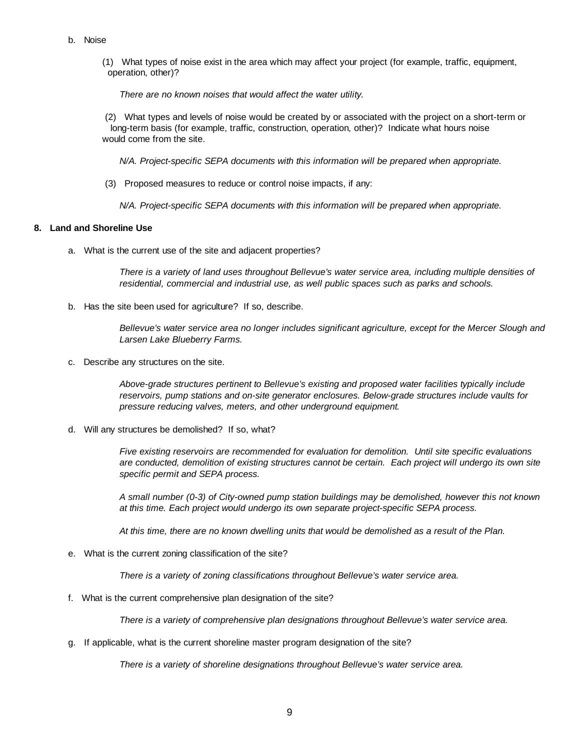- b. Noise
	- (1) What types of noise exist in the area which may affect your project (for example, traffic, equipment, operation, other)?

*There are no known noises that would affect the water utility.*

(2) What types and levels of noise would be created by or associated with the project on a short-term or long-term basis (for example, traffic, construction, operation, other)? Indicate what hours noise would come from the site.

*N/A. Project-specific SEPA documents with this information will be prepared when appropriate.*

(3) Proposed measures to reduce or control noise impacts, if any:

*N/A. Project-specific SEPA documents with this information will be prepared when appropriate.*

#### **8. Land and Shoreline Use**

a. What is the current use of the site and adjacent properties?

*There is a variety of land uses throughout Bellevue's water service area, including multiple densities of residential, commercial and industrial use, as well public spaces such as parks and schools.*

b. Has the site been used for agriculture? If so, describe.

*Bellevue's water service area no longer includes significant agriculture, except for the Mercer Slough and Larsen Lake Blueberry Farms.*

c. Describe any structures on the site.

*Above-grade structures pertinent to Bellevue's existing and proposed water facilities typically include reservoirs, pump stations and on-site generator enclosures. Below-grade structures include vaults for pressure reducing valves, meters, and other underground equipment.*

d. Will any structures be demolished? If so, what?

*Five existing reservoirs are recommended for evaluation for demolition. Until site specific evaluations are conducted, demolition of existing structures cannot be certain. Each project will undergo its own site specific permit and SEPA process.*

*A small number (0-3) of City-owned pump station buildings may be demolished, however this not known at this time. Each project would undergo its own separate project-specific SEPA process.*

*At this time, there are no known dwelling units that would be demolished as a result of the Plan.*

e. What is the current zoning classification of the site?

*There is a variety of zoning classifications throughout Bellevue's water service area.*

f. What is the current comprehensive plan designation of the site?

*There is a variety of comprehensive plan designations throughout Bellevue's water service area.*

g. If applicable, what is the current shoreline master program designation of the site?

*There is a variety of shoreline designations throughout Bellevue's water service area.*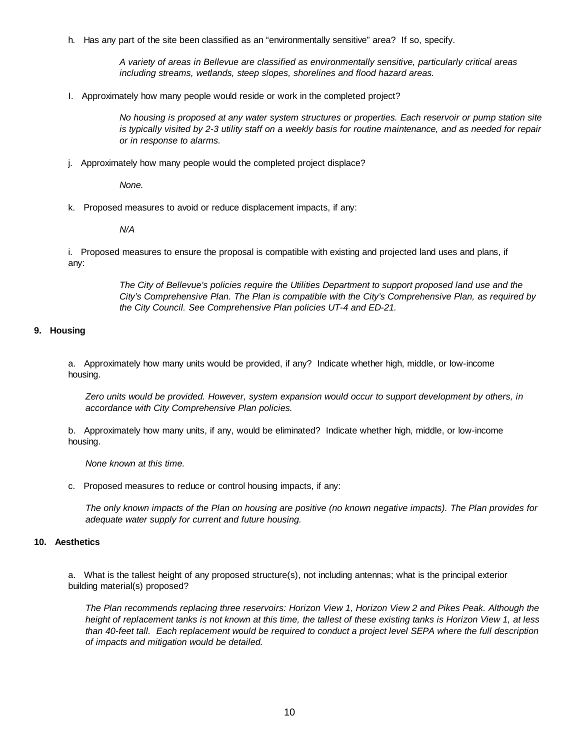h. Has any part of the site been classified as an "environmentally sensitive" area? If so, specify.

*A variety of areas in Bellevue are classified as environmentally sensitive, particularly critical areas including streams, wetlands, steep slopes, shorelines and flood hazard areas.*

I. Approximately how many people would reside or work in the completed project?

*No housing is proposed at any water system structures or properties. Each reservoir or pump station site is typically visited by 2-3 utility staff on a weekly basis for routine maintenance, and as needed for repair or in response to alarms.*

j. Approximately how many people would the completed project displace?

*None.*

k. Proposed measures to avoid or reduce displacement impacts, if any:

*N/A*

i. Proposed measures to ensure the proposal is compatible with existing and projected land uses and plans, if any:

> *The City of Bellevue's policies require the Utilities Department to support proposed land use and the City's Comprehensive Plan. The Plan is compatible with the City's Comprehensive Plan, as required by the City Council. See Comprehensive Plan policies UT-4 and ED-21.*

#### **9. Housing**

a. Approximately how many units would be provided, if any? Indicate whether high, middle, or low-income housing.

*Zero units would be provided. However, system expansion would occur to support development by others, in accordance with City Comprehensive Plan policies.*

b. Approximately how many units, if any, would be eliminated? Indicate whether high, middle, or low-income housing.

*None known at this time.*

c. Proposed measures to reduce or control housing impacts, if any:

*The only known impacts of the Plan on housing are positive (no known negative impacts). The Plan provides for adequate water supply for current and future housing.*

# **10. Aesthetics**

a. What is the tallest height of any proposed structure(s), not including antennas; what is the principal exterior building material(s) proposed?

*The Plan recommends replacing three reservoirs: Horizon View 1, Horizon View 2 and Pikes Peak. Although the height of replacement tanks is not known at this time, the tallest of these existing tanks is Horizon View 1, at less than 40-feet tall. Each replacement would be required to conduct a project level SEPA where the full description of impacts and mitigation would be detailed.*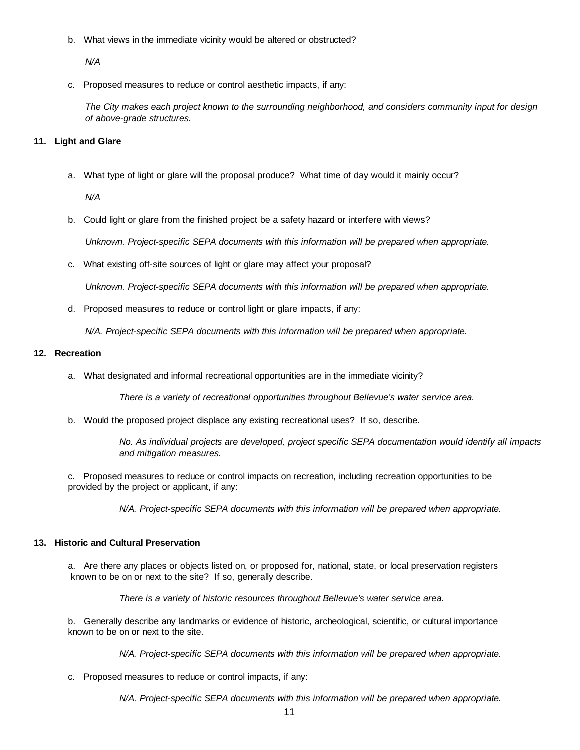b. What views in the immediate vicinity would be altered or obstructed?

*N/A*

c. Proposed measures to reduce or control aesthetic impacts, if any:

*The City makes each project known to the surrounding neighborhood, and considers community input for design of above-grade structures.*

# **11. Light and Glare**

a. What type of light or glare will the proposal produce? What time of day would it mainly occur?

*N/A*

b. Could light or glare from the finished project be a safety hazard or interfere with views?

*Unknown. Project-specific SEPA documents with this information will be prepared when appropriate.*

c. What existing off-site sources of light or glare may affect your proposal?

*Unknown. Project-specific SEPA documents with this information will be prepared when appropriate.*

d. Proposed measures to reduce or control light or glare impacts, if any:

*N/A. Project-specific SEPA documents with this information will be prepared when appropriate.*

#### **12. Recreation**

a. What designated and informal recreational opportunities are in the immediate vicinity?

*There is a variety of recreational opportunities throughout Bellevue's water service area.*

b. Would the proposed project displace any existing recreational uses? If so, describe.

*No. As individual projects are developed, project specific SEPA documentation would identify all impacts and mitigation measures.*

c. Proposed measures to reduce or control impacts on recreation, including recreation opportunities to be provided by the project or applicant, if any:

*N/A. Project-specific SEPA documents with this information will be prepared when appropriate.*

#### **13. Historic and Cultural Preservation**

a. Are there any places or objects listed on, or proposed for, national, state, or local preservation registers known to be on or next to the site? If so, generally describe.

*There is a variety of historic resources throughout Bellevue's water service area.*

b. Generally describe any landmarks or evidence of historic, archeological, scientific, or cultural importance known to be on or next to the site.

*N/A. Project-specific SEPA documents with this information will be prepared when appropriate.*

c. Proposed measures to reduce or control impacts, if any:

*N/A. Project-specific SEPA documents with this information will be prepared when appropriate.*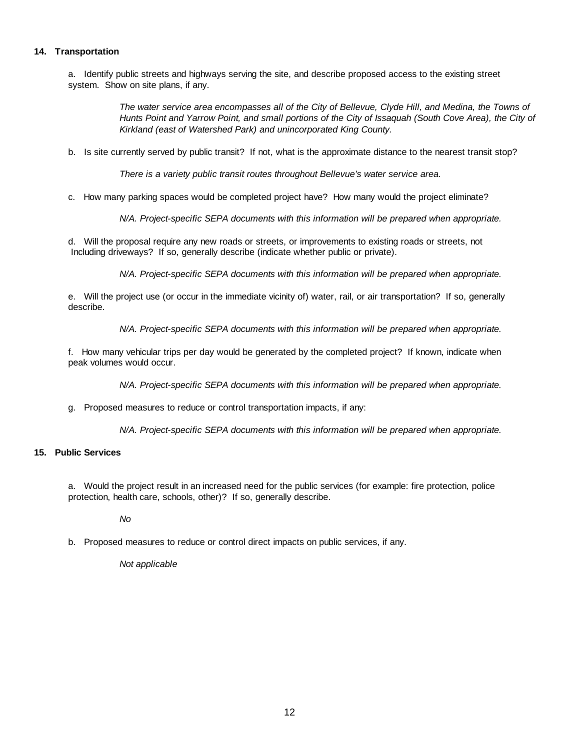# **14. Transportation**

a. Identify public streets and highways serving the site, and describe proposed access to the existing street system. Show on site plans, if any.

> *The water service area encompasses all of the City of Bellevue, Clyde Hill, and Medina, the Towns of Hunts Point and Yarrow Point, and small portions of the City of Issaquah (South Cove Area), the City of Kirkland (east of Watershed Park) and unincorporated King County.*

b. Is site currently served by public transit? If not, what is the approximate distance to the nearest transit stop?

*There is a variety public transit routes throughout Bellevue's water service area.*

c. How many parking spaces would be completed project have? How many would the project eliminate?

*N/A. Project-specific SEPA documents with this information will be prepared when appropriate.*

d. Will the proposal require any new roads or streets, or improvements to existing roads or streets, not Including driveways? If so, generally describe (indicate whether public or private).

*N/A. Project-specific SEPA documents with this information will be prepared when appropriate.*

e. Will the project use (or occur in the immediate vicinity of) water, rail, or air transportation? If so, generally describe.

*N/A. Project-specific SEPA documents with this information will be prepared when appropriate.*

f. How many vehicular trips per day would be generated by the completed project? If known, indicate when peak volumes would occur.

*N/A. Project-specific SEPA documents with this information will be prepared when appropriate.*

g. Proposed measures to reduce or control transportation impacts, if any:

*N/A. Project-specific SEPA documents with this information will be prepared when appropriate.*

# **15. Public Services**

a. Would the project result in an increased need for the public services (for example: fire protection, police protection, health care, schools, other)? If so, generally describe.

*No*

b. Proposed measures to reduce or control direct impacts on public services, if any.

*Not applicable*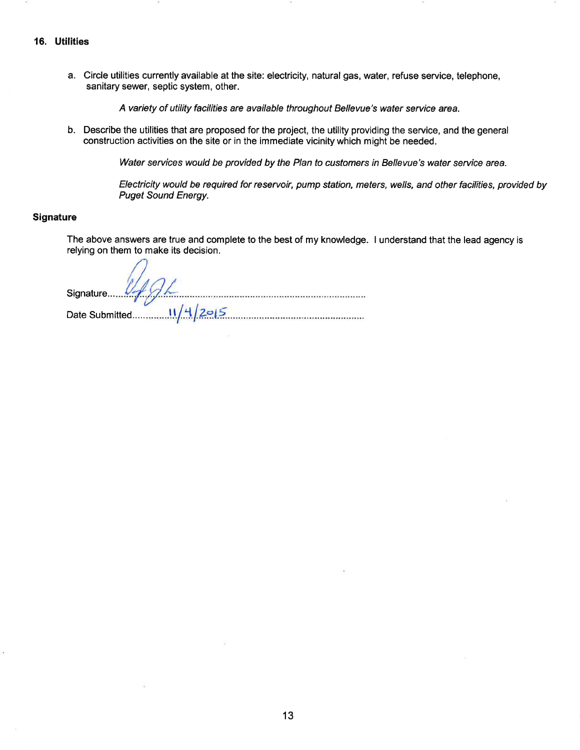#### 16. Utilities

a. Circle utilities currently available at the site: electricity, natural gas, water, refuse service, telephone, sanitary sewer, septic system, other.

A variety of utility facilities are available throughout Bellevue's water service area.

b. Describe the utilities that are proposed for the project, the utility providing the service, and the general construction activities on the site or in the immediate vicinity which might be needed.

Water services would be provided by the Plan to customers in Bellevue's water service area.

Electricity would be required for reservoir, pump station, meters, wells, and other facilities, provided by **Puget Sound Energy.** 

#### **Signature**

The above answers are true and complete to the best of my knowledge. I understand that the lead agency is relying on them to make its decision.

Signature VAGL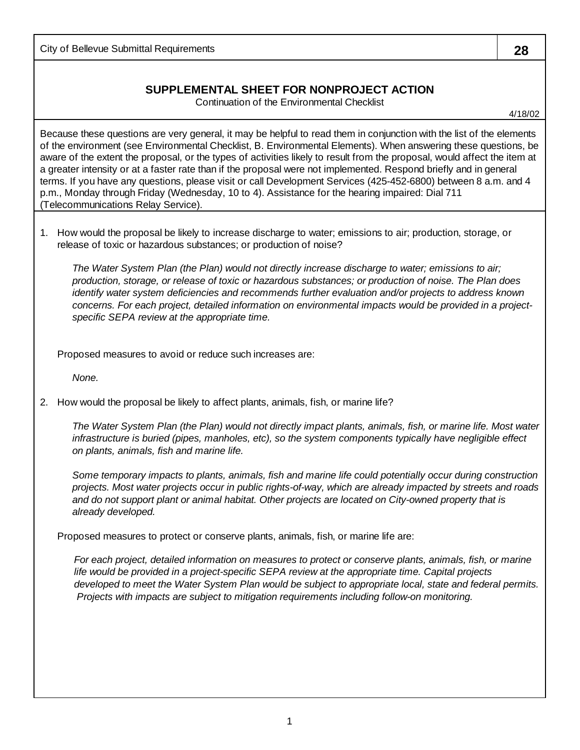City of Bellevue Submittal Requirements **28**

# **SUPPLEMENTAL SHEET FOR NONPROJECT ACTION**

Continuation of the Environmental Checklist

4/18/02

Because these questions are very general, it may be helpful to read them in conjunction with the list of the elements of the environment (see Environmental Checklist, B. Environmental Elements). When answering these questions, be aware of the extent the proposal, or the types of activities likely to result from the proposal, would affect the item at a greater intensity or at a faster rate than if the proposal were not implemented. Respond briefly and in general terms. If you have any questions, please visit or call Development Services (425-452-6800) between 8 a.m. and 4 p.m., Monday through Friday (Wednesday, 10 to 4). Assistance for the hearing impaired: Dial 711 (Telecommunications Relay Service).

1. How would the proposal be likely to increase discharge to water; emissions to air; production, storage, or release of toxic or hazardous substances; or production of noise?

*The Water System Plan (the Plan) would not directly increase discharge to water; emissions to air; production, storage, or release of toxic or hazardous substances; or production of noise. The Plan does identify water system deficiencies and recommends further evaluation and/or projects to address known concerns. For each project, detailed information on environmental impacts would be provided in a projectspecific SEPA review at the appropriate time.*

Proposed measures to avoid or reduce such increases are:

*None.*

2. How would the proposal be likely to affect plants, animals, fish, or marine life?

*The Water System Plan (the Plan) would not directly impact plants, animals, fish, or marine life. Most water infrastructure is buried (pipes, manholes, etc), so the system components typically have negligible effect on plants, animals, fish and marine life.*

*Some temporary impacts to plants, animals, fish and marine life could potentially occur during construction projects. Most water projects occur in public rights-of-way, which are already impacted by streets and roads and do not support plant or animal habitat. Other projects are located on City-owned property that is already developed.*

Proposed measures to protect or conserve plants, animals, fish, or marine life are:

*For each project, detailed information on measures to protect or conserve plants, animals, fish, or marine life would be provided in a project-specific SEPA review at the appropriate time. Capital projects developed to meet the Water System Plan would be subject to appropriate local, state and federal permits. Projects with impacts are subject to mitigation requirements including follow-on monitoring.*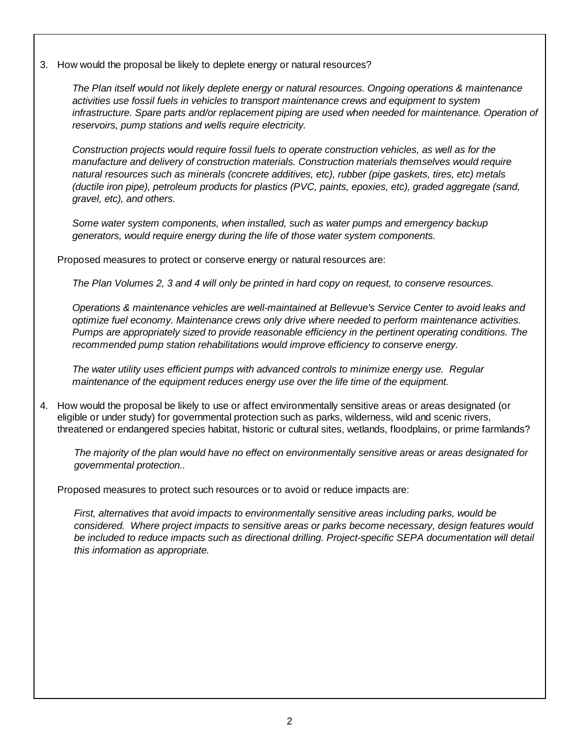3. How would the proposal be likely to deplete energy or natural resources?

*The Plan itself would not likely deplete energy or natural resources. Ongoing operations & maintenance activities use fossil fuels in vehicles to transport maintenance crews and equipment to system infrastructure. Spare parts and/or replacement piping are used when needed for maintenance. Operation of reservoirs, pump stations and wells require electricity.*

*Construction projects would require fossil fuels to operate construction vehicles, as well as for the manufacture and delivery of construction materials. Construction materials themselves would require natural resources such as minerals (concrete additives, etc), rubber (pipe gaskets, tires, etc) metals (ductile iron pipe), petroleum products for plastics (PVC, paints, epoxies, etc), graded aggregate (sand, gravel, etc), and others.*

*Some water system components, when installed, such as water pumps and emergency backup generators, would require energy during the life of those water system components.*

Proposed measures to protect or conserve energy or natural resources are:

*The Plan Volumes 2, 3 and 4 will only be printed in hard copy on request, to conserve resources.*

*Operations & maintenance vehicles are well-maintained at Bellevue's Service Center to avoid leaks and optimize fuel economy. Maintenance crews only drive where needed to perform maintenance activities. Pumps are appropriately sized to provide reasonable efficiency in the pertinent operating conditions. The recommended pump station rehabilitations would improve efficiency to conserve energy.*

*The water utility uses efficient pumps with advanced controls to minimize energy use. Regular maintenance of the equipment reduces energy use over the life time of the equipment.*

4. How would the proposal be likely to use or affect environmentally sensitive areas or areas designated (or eligible or under study) for governmental protection such as parks, wilderness, wild and scenic rivers, threatened or endangered species habitat, historic or cultural sites, wetlands, floodplains, or prime farmlands?

*The majority of the plan would have no effect on environmentally sensitive areas or areas designated for governmental protection..*

Proposed measures to protect such resources or to avoid or reduce impacts are:

*First, alternatives that avoid impacts to environmentally sensitive areas including parks, would be considered. Where project impacts to sensitive areas or parks become necessary, design features would be included to reduce impacts such as directional drilling. Project-specific SEPA documentation will detail this information as appropriate.*